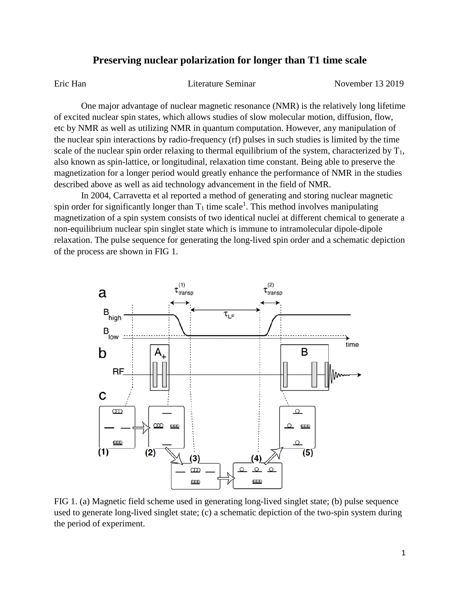## **Preserving nuclear polarization for longer than T1 time scale**

Eric Han Literature Seminar November 13 2019

One major advantage of nuclear magnetic resonance (NMR) is the relatively long lifetime of excited nuclear spin states, which allows studies of slow molecular motion, diffusion, flow, etc by NMR as well as utilizing NMR in quantum computation. However, any manipulation of the nuclear spin interactions by radio-frequency (rf) pulses in such studies is limited by the time scale of the nuclear spin order relaxing to thermal equilibrium of the system, characterized by  $T_1$ , also known as spin-lattice, or longitudinal, relaxation time constant. Being able to preserve the magnetization for a longer period would greatly enhance the performance of NMR in the studies described above as well as aid technology advancement in the field of NMR.

In 2004, Carravetta et al reported a method of generating and storing nuclear magnetic spin order for significantly longer than  $T_1$  time scale<sup>1</sup>. This method involves manipulating magnetization of a spin system consists of two identical nuclei at different chemical to generate a non-equilibrium nuclear spin singlet state which is immune to intramolecular dipole-dipole relaxation. The pulse sequence for generating the long-lived spin order and a schematic depiction of the process are shown in FIG 1.



FIG 1. (a) Magnetic field scheme used in generating long-lived singlet state; (b) pulse sequence used to generate long-lived singlet state; (c) a schematic depiction of the two-spin system during the period of experiment.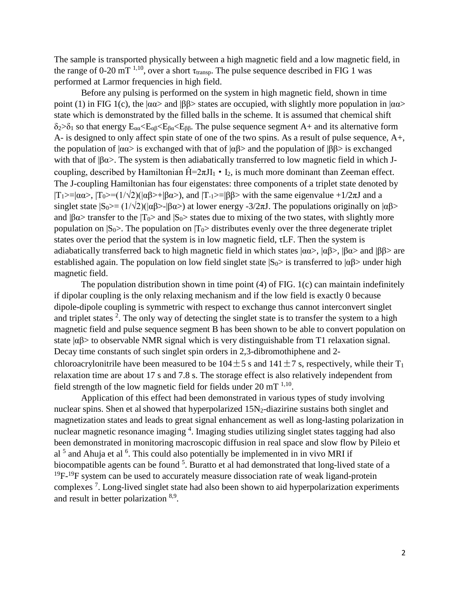The sample is transported physically between a high magnetic field and a low magnetic field, in the range of 0-20 mT <sup>1,10</sup>, over a short  $\tau_{transp}$ . The pulse sequence described in FIG 1 was performed at Larmor frequencies in high field.

Before any pulsing is performed on the system in high magnetic field, shown in time point (1) in FIG 1(c), the  $|\alpha\alpha\rangle$  and  $|\beta\beta\rangle$  states are occupied, with slightly more population in  $|\alpha\alpha\rangle$ state which is demonstrated by the filled balls in the scheme. It is assumed that chemical shift  $\delta_2 > \delta_1$  so that energy  $E_{\alpha\alpha} < E_{\beta\alpha} < E_{\beta\alpha} < E_{\beta\beta}$ . The pulse sequence segment A+ and its alternative form A- is designed to only affect spin state of one of the two spins. As a result of pulse sequence, A+, the population of  $|\alpha \alpha \rangle$  is exchanged with that of  $|\alpha \beta \rangle$  and the population of  $|\beta \beta \rangle$  is exchanged with that of  $|\beta \alpha\rangle$ . The system is then adiabatically transferred to low magnetic field in which Jcoupling, described by Hamiltonian  $\hat{H} = 2\pi J I_1 \cdot I_2$ , is much more dominant than Zeeman effect. The J-coupling Hamiltonian has four eigenstates: three components of a triplet state denoted by  $|T_1\rangle = |\alpha \alpha \rangle$ ,  $|T_0\rangle = (1/\sqrt{2})(|\alpha \beta \rangle + |\beta \alpha \rangle)$ , and  $|T_1\rangle = |\beta \beta \rangle$  with the same eigenvalue +1/2πJ and a singlet state  $|S_0\rangle = (1/\sqrt{2})(|\alpha\beta\rangle - |\beta\alpha\rangle)$  at lower energy -3/2πJ. The populations originally on  $|\alpha\beta\rangle$ and  $|\beta \alpha \rangle$  transfer to the  $|T_0\rangle$  and  $|S_0\rangle$  states due to mixing of the two states, with slightly more population on  $|S_0\rangle$ . The population on  $|T_0\rangle$  distributes evenly over the three degenerate triplet states over the period that the system is in low magnetic field, τLF. Then the system is adiabatically transferred back to high magnetic field in which states  $|\alpha \alpha \rangle$ ,  $|\alpha \beta \rangle$ ,  $|\beta \alpha \rangle$  and  $|\beta \beta \rangle$  are established again. The population on low field singlet state  $|S_0\rangle$  is transferred to  $|\alpha\beta\rangle$  under high magnetic field.

The population distribution shown in time point (4) of FIG. 1(c) can maintain indefinitely if dipolar coupling is the only relaxing mechanism and if the low field is exactly 0 because dipole-dipole coupling is symmetric with respect to exchange thus cannot interconvert singlet and triplet states  $2$ . The only way of detecting the singlet state is to transfer the system to a high magnetic field and pulse sequence segment B has been shown to be able to convert population on state  $|\alpha\beta\rangle$  to observable NMR signal which is very distinguishable from T1 relaxation signal. Decay time constants of such singlet spin orders in 2,3-dibromothiphene and 2 chloroacrylonitrile have been measured to be  $104 \pm 5$  s and  $141 \pm 7$  s, respectively, while their T<sub>1</sub> relaxation time are about 17 s and 7.8 s. The storage effect is also relatively independent from field strength of the low magnetic field for fields under  $20 \text{ mT}^{1,10}$ .

Application of this effect had been demonstrated in various types of study involving nuclear spins. Shen et al showed that hyperpolarized  $15N_2$ -diazirine sustains both singlet and magnetization states and leads to great signal enhancement as well as long-lasting polarization in nuclear magnetic resonance imaging <sup>4</sup>. Imaging studies utilizing singlet states tagging had also been demonstrated in monitoring macroscopic diffusion in real space and slow flow by Pileio et al  $<sup>5</sup>$  and Ahuja et al  $<sup>6</sup>$ . This could also potentially be implemented in in vivo MRI if</sup></sup> biocompatible agents can be found <sup>5</sup>. Buratto et al had demonstrated that long-lived state of a  $^{19}F$ - $^{19}F$  system can be used to accurately measure dissociation rate of weak ligand-protein complexes<sup>7</sup>. Long-lived singlet state had also been shown to aid hyperpolarization experiments and result in better polarization 8,9.